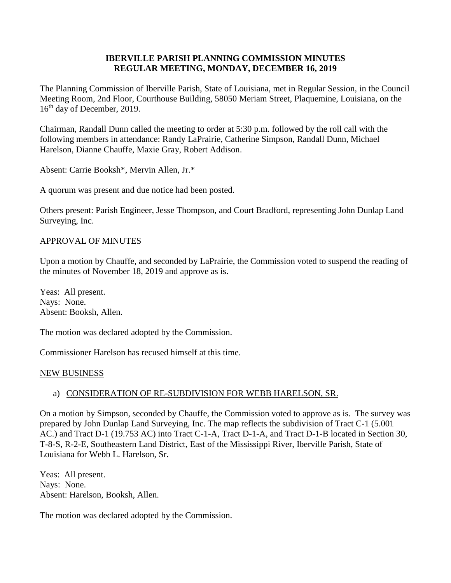### **IBERVILLE PARISH PLANNING COMMISSION MINUTES REGULAR MEETING, MONDAY, DECEMBER 16, 2019**

The Planning Commission of Iberville Parish, State of Louisiana, met in Regular Session, in the Council Meeting Room, 2nd Floor, Courthouse Building, 58050 Meriam Street, Plaquemine, Louisiana, on the 16<sup>th</sup> day of December, 2019.

Chairman, Randall Dunn called the meeting to order at 5:30 p.m. followed by the roll call with the following members in attendance: Randy LaPrairie, Catherine Simpson, Randall Dunn, Michael Harelson, Dianne Chauffe, Maxie Gray, Robert Addison.

Absent: Carrie Booksh\*, Mervin Allen, Jr.\*

A quorum was present and due notice had been posted.

Others present: Parish Engineer, Jesse Thompson, and Court Bradford, representing John Dunlap Land Surveying, Inc.

### APPROVAL OF MINUTES

Upon a motion by Chauffe, and seconded by LaPrairie, the Commission voted to suspend the reading of the minutes of November 18, 2019 and approve as is.

Yeas: All present. Nays: None. Absent: Booksh, Allen.

The motion was declared adopted by the Commission.

Commissioner Harelson has recused himself at this time.

### NEW BUSINESS

# a) CONSIDERATION OF RE-SUBDIVISION FOR WEBB HARELSON, SR.

On a motion by Simpson, seconded by Chauffe, the Commission voted to approve as is. The survey was prepared by John Dunlap Land Surveying, Inc. The map reflects the subdivision of Tract C-1 (5.001 AC.) and Tract D-1 (19.753 AC) into Tract C-1-A, Tract D-1-A, and Tract D-1-B located in Section 30, T-8-S, R-2-E, Southeastern Land District, East of the Mississippi River, Iberville Parish, State of Louisiana for Webb L. Harelson, Sr.

Yeas: All present. Nays: None. Absent: Harelson, Booksh, Allen.

The motion was declared adopted by the Commission.